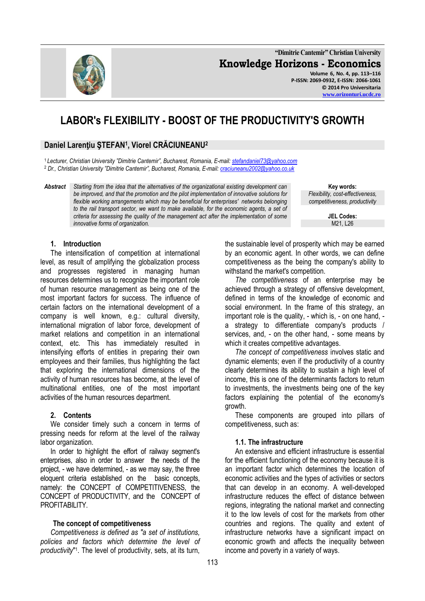

**"Dimitrie Cantemir" Christian University Knowledge Horizons - Economics Volume 6, No. 4, pp. 113–116 P-ISSN: 2069-0932, E-ISSN: 2066-1061 © 2014 Pro Universitaria**

# **LABOR's FLEXIBILITY - BOOST OF THE PRODUCTIVITY'S GROWTH**

# **Daniel Larenţiu ŞTEFAN<sup>1</sup> , Viorel CRĂCIUNEANU<sup>2</sup>**

<sup>1</sup>*Lecturer, Christian University "Dimitrie Cantemir", Bucharest, Romania, E-mail: [stefandaniel73@yahoo.com](mailto:stefandaniel73@yahoo.com)* <sup>2</sup> *Dr., Christian University "Dimitrie Cantemir", Bucharest, Romania, E-mail[: craciuneanu2002@yahoo.co.uk](mailto:craciuneanu2002@yahoo.co.uk)*

*Abstract Starting from the idea that the alternatives of the organizational existing development can be improved, and that the promotion and the pilot implementation of innovative solutions for flexible working arrangements which may be beneficial for enterprises' networks belonging*  to the rail transport sector, we want to make available, for the economic agents, a set of *criteria for assessing the quality of the management act after the implementation of some innovative forms of organization.* 

**Key words:** *Flexibility, cost-effectiveness, competitiveness, productivity*

**[www.orizonturi.ucdc.ro](http://www.orizonturi.ucdc.ro/)**

**JEL Codes:** M21, L26

#### **1. Introduction**

The intensification of competition at international level, as result of amplifying the globalization process and progresses registered in managing human resources determines us to recognize the important role of human resource management as being one of the most important factors for success. The influence of certain factors on the international development of a company is well known, e.g.: cultural diversity, international migration of labor force, development of market relations and competition in an international context, etc. This has immediately resulted in intensifying efforts of entities in preparing their own employees and their families, thus highlighting the fact that exploring the international dimensions of the activity of human resources has become, at the level of multinational entities, one of the most important activities of the human resources department.

#### **2. Contents**

We consider timely such a concern in terms of pressing needs for reform at the level of the railway labor organization.

In order to highlight the effort of railway segment's enterprises, also in order to answer the needs of the project, - we have determined, - as we may say, the three eloquent criteria established on the basic concepts, namely: the CONCEPT of COMPETITIVENESS, the CONCEPT of PRODUCTIVITY, and the CONCEPT of PROFITABILITY

#### **The concept of competitiveness**

*Competitiveness is defined as "a set of institutions, policies and factors which determine the level of*  productivity<sup>"1</sup>. The level of productivity, sets, at its turn, the sustainable level of prosperity which may be earned by an economic agent. In other words, we can define competitiveness as the being the company's ability to withstand the market's competition.

*The competitiveness* of an enterprise may be achieved through a strategy of offensive development, defined in terms of the knowledge of economic and social environment. In the frame of this strategy, an important role is the quality, - which is, - on one hand, a strategy to differentiate company's products / services, and, - on the other hand, - some means by which it creates competitive advantages.

*The concept of competitiveness* involves static and dynamic elements; even if the productivity of a country clearly determines its ability to sustain a high level of income, this is one of the determinants factors to return to investments, the investments being one of the key factors explaining the potential of the economy's growth.

These components are grouped into pillars of competitiveness, such as:

#### **1.1. The infrastructure**

An extensive and efficient infrastructure is essential for the efficient functioning of the economy because it is an important factor which determines the location of economic activities and the types of activities or sectors that can develop in an economy. A well-developed infrastructure reduces the effect of distance between regions, integrating the national market and connecting it to the low levels of cost for the markets from other countries and regions. The quality and extent of infrastructure networks have a significant impact on economic growth and affects the inequality between income and poverty in a variety of ways.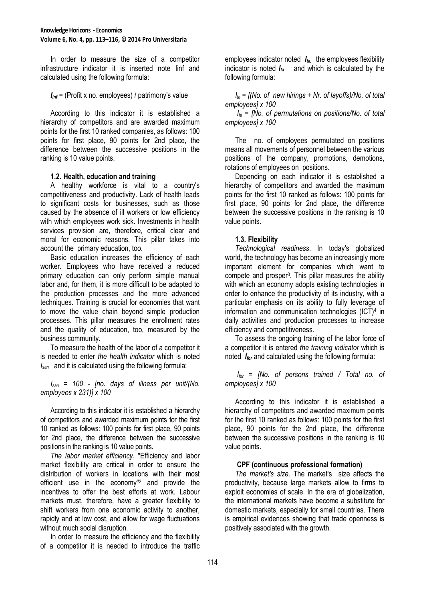In order to measure the size of a competitor infrastructure indicator it is inserted note Iinf and calculated using the following formula:

*Iinf* = (Profit x no. employees) / patrimony's value

According to this indicator it is established a hierarchy of competitors and are awarded maximum points for the first 10 ranked companies, as follows: 100 points for first place, 90 points for 2nd place, the difference between the successive positions in the ranking is 10 value points.

## **1.2. Health, education and training**

A healthy workforce is vital to a country's competitiveness and productivity. Lack of health leads to significant costs for businesses, such as those caused by the absence of ill workers or low efficiency with which employees work sick. Investments in health services provision are, therefore, critical clear and moral for economic reasons. This pillar takes into account the primary education, too.

Basic education increases the efficiency of each worker. Employees who have received a reduced primary education can only perform simple manual labor and, for them, it is more difficult to be adapted to the production processes and the more advanced techniques. Training is crucial for economies that want to move the value chain beyond simple production processes. This pillar measures the enrollment rates and the quality of education, too, measured by the business community.

To measure the health of the labor of a competitor it is needed to enter *the health indicator* which is noted *Isan* and it is calculated using the following formula:

*Isan* = *100 - [no. days of illness per unit/(No. employees x 231)] x 100*

According to this indicator it is established a hierarchy of competitors and awarded maximum points for the first 10 ranked as follows: 100 points for first place, 90 points for 2nd place, the difference between the successive positions in the ranking is 10 value points.

*The labor market efficiency*. "Efficiency and labor market flexibility are critical in order to ensure the distribution of workers in locations with their most efficient use in the economy"<sup>2</sup> and provide the incentives to offer the best efforts at work. Labour markets must, therefore, have a greater flexibility to shift workers from one economic activity to another, rapidly and at low cost, and allow for wage fluctuations without much social disruption.

In order to measure the efficiency and the flexibility of a competitor it is needed to introduce the traffic employees indicator noted *Ita,* the employees flexibility indicator is noted *Ifa* and which is calculated by the following formula:

*Ita* = *[(No. of new hirings + Nr. of layoffs)/No. of total employees] x 100* 

*Ifa* = *[No. of permutations on positions/No. of total employees] x 100*

The no. of employees permutated on positions means all movements of personnel between the various positions of the company, promotions, demotions, rotations of employees on positions.

Depending on each indicator it is established a hierarchy of competitors and awarded the maximum points for the first 10 ranked as follows: 100 points for first place, 90 points for 2nd place, the difference between the successive positions in the ranking is 10 value points.

## **1.3. Flexibility**

*Technological readiness*. In today's globalized world, the technology has become an increasingly more important element for companies which want to compete and prosper<sup>3</sup> . This pillar measures the ability with which an economy adopts existing technologies in order to enhance the productivity of its industry, with a particular emphasis on its ability to fully leverage of information and communication technologies  $(ICT)<sup>4</sup>$  in daily activities and production processes to increase efficiency and competitiveness.

To assess the ongoing training of the labor force of a competitor it is entered *the training indicator* which is noted *Ifor* and calculated using the following formula:

*Ifor = [No. of persons trained / Total no. of employees] x 100* 

According to this indicator it is established a hierarchy of competitors and awarded maximum points for the first 10 ranked as follows: 100 points for the first place, 90 points for the 2nd place, the difference between the successive positions in the ranking is 10 value points.

## **CPF (continuous professional formation)**

*The market's size*. The market's size affects the productivity, because large markets allow to firms to exploit economies of scale. In the era of globalization, the international markets have become a substitute for domestic markets, especially for small countries. There is empirical evidences showing that trade openness is positively associated with the growth.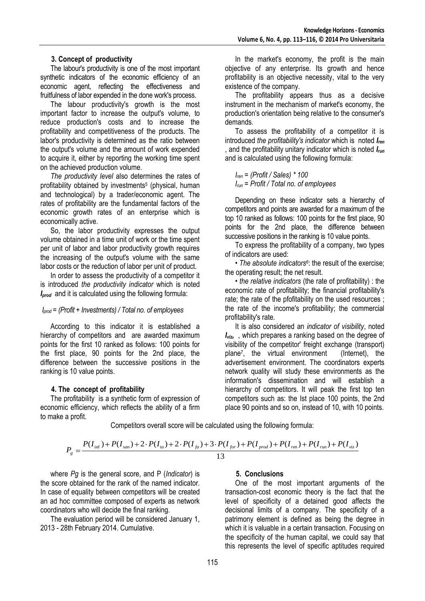#### **3. Concept of productivity**

The labour's productivity is one of the most important synthetic indicators of the economic efficiency of an economic agent, reflecting the effectiveness and fruitfulness of labor expended in the done work's process.

The labour productivity's growth is the most important factor to increase the output's volume, to reduce production's costs and to increase the profitability and competitiveness of the products. The labor's productivity is determined as the ratio between the output's volume and the amount of work expended to acquire it, either by reporting the working time spent on the achieved production volume.

*The productivity level* also determines the rates of profitability obtained by investments<sup>5</sup> (physical, human and technological) by a trader/economic agent. The rates of profitability are the fundamental factors of the economic growth rates of an enterprise which is economically active.

So, the labor productivity expresses the output volume obtained in a time unit of work or the time spent per unit of labor and labor productivity growth requires the increasing of the output's volume with the same labor costs or the reduction of labor per unit of product.

In order to assess the productivity of a competitor it is introduced *the productivity indicator* which is noted *Iprod* and it is calculated using the following formula:

#### *Iprod* = *(Profit + Investments) / Total no. of employees*

According to this indicator it is established a hierarchy of competitors and are awarded maximum points for the first 10 ranked as follows: 100 points for the first place, 90 points for the 2nd place, the difference between the successive positions in the ranking is 10 value points.

## **4. The concept of profitability**

The profitability is a synthetic form of expression of economic efficiency, which reflects the ability of a firm to make a profit.

In the market's economy, the profit is the main objective of any enterprise. Its growth and hence profitability is an objective necessity, vital to the very existence of the company.

The profitability appears thus as a decisive instrument in the mechanism of market's economy, the production's orientation being relative to the consumer's demands.

To assess the profitability of a competitor it is introduced *the profitability's indicator* which is noted *Iren*  , and the profitability unitary indicator which is noted *Irun*  and is calculated using the following formula:

*Iren* = *(Profit / Sales) \* 100 Irun* = *Profit / Total no. of employees*

Depending on these indicator sets a hierarchy of competitors and points are awarded for a maximum of the top 10 ranked as follows: 100 points for the first place, 90 points for the 2nd place, the difference between successive positions in the ranking is 10 value points.

To express the profitability of a company, two types of indicators are used:

• *The absolute indicators<sup>6</sup>* : the result of the exercise; the operating result; the net result.

• *the relative indicators* (the rate of profitability) : the economic rate of profitability; the financial profitability's rate; the rate of the pfofitability on the used resources ; the rate of the income's profitability; the commercial profitability's rate.

It is also considered an *indicator of visibility*, noted *Iviz,* , which prepares a ranking based on the degree of visibility of the competitor' freight exchange (transport) plane<sup>7</sup> , the virtual environment (Internet), the advertisement environment. The coordinators experts network quality will study these environments as the information's dissemination and will establish a hierarchy of competitors. It will peak the first top ten competitors such as: the Ist place 100 points, the 2nd place 90 points and so on, instead of 10, with 10 points.

Competitors overall score will be calculated using the following formula:

$$
P_g = \frac{P(I_{\text{inf}}) + P(I_{\text{san}}) + 2 \cdot P(I_{\text{ta}}) + 2 \cdot P(I_{\text{fa}}) + 3 \cdot P(I_{\text{for}}) + P(I_{\text{prod}}) + P(I_{\text{ren}}) + P(I_{\text{run}}) + P(I_{\text{viz}})}{13}
$$

where *Pg* is the general score, and P (*Indicator*) is the score obtained for the rank of the named indicator. In case of equality between competitors will be created an ad hoc committee composed of experts as network coordinators who will decide the final ranking.

The evaluation period will be considered January 1, 2013 - 28th February 2014. Cumulative.

## **5. Conclusions**

One of the most important arguments of the transaction-cost economic theory is the fact that the level of specificity of a detained good affects the decisional limits of a company. The specificity of a patrimony element is defined as being the degree in which it is valuable in a certain transaction. Focusing on the specificity of the human capital, we could say that this represents the level of specific aptitudes required